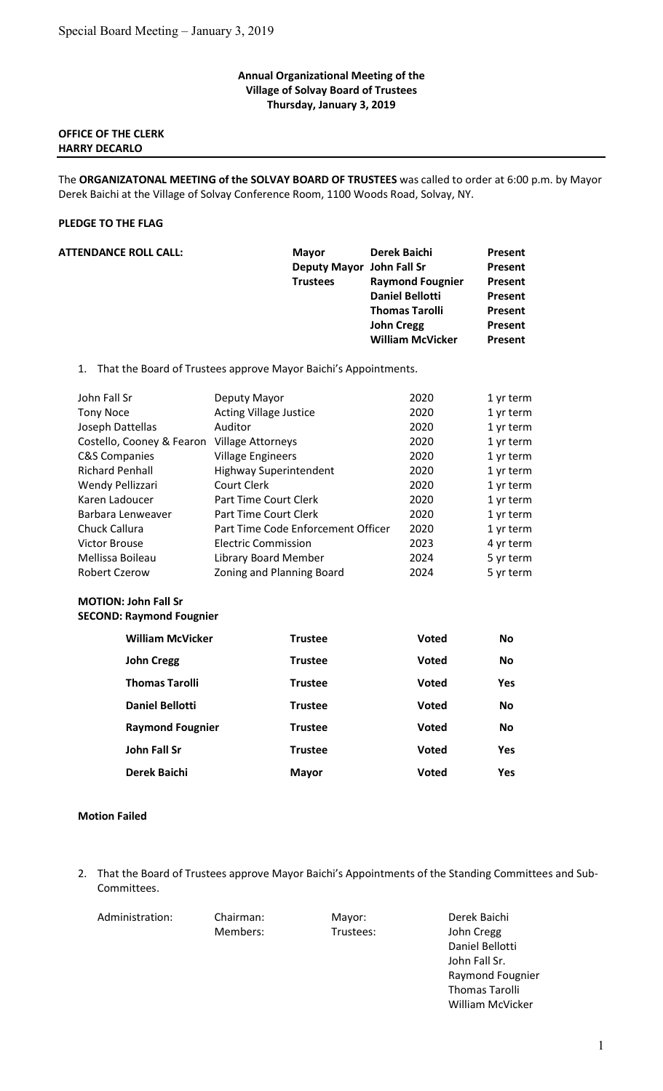## Annual Organizational Meeting of the Village of Solvay Board of Trustees Thursday, January 3, 2019

# OFFICE OF THE CLERK HARRY DECARLO

The ORGANIZATONAL MEETING of the SOLVAY BOARD OF TRUSTEES was called to order at 6:00 p.m. by Mayor Derek Baichi at the Village of Solvay Conference Room, 1100 Woods Road, Solvay, NY.

## PLEDGE TO THE FLAG

| <b>ATTENDANCE ROLL CALL:</b> | <b>Mayor</b><br>Deputy Mayor John Fall Sr<br><b>Trustees</b>    | Derek Baichi<br><b>Raymond Fougnier</b><br><b>Daniel Bellotti</b><br><b>Thomas Tarolli</b><br><b>John Cregg</b><br><b>William McVicker</b> | Present<br>Present<br><b>Present</b><br>Present<br>Present<br>Present<br>Present |
|------------------------------|-----------------------------------------------------------------|--------------------------------------------------------------------------------------------------------------------------------------------|----------------------------------------------------------------------------------|
| 1.                           | That the Board of Trustees approve Mayor Baichi's Appointments. |                                                                                                                                            |                                                                                  |
| John Fall Sr                 | Deputy Mayor                                                    | 2020                                                                                                                                       | 1 yr term                                                                        |
| <b>Tony Noce</b>             | <b>Acting Village Justice</b>                                   | 2020                                                                                                                                       | 1 yr term                                                                        |
| Joseph Dattellas             | Auditor                                                         | 2020                                                                                                                                       | 1 yr term                                                                        |
| Costello, Cooney & Fearon    | <b>Village Attorneys</b>                                        | 2020                                                                                                                                       | 1 yr term                                                                        |
| <b>C&amp;S Companies</b>     | <b>Village Engineers</b>                                        | 2020                                                                                                                                       | 1 yr term                                                                        |
| <b>Richard Penhall</b>       | <b>Highway Superintendent</b>                                   | 2020                                                                                                                                       | 1 yr term                                                                        |
| Wendy Pellizzari             | Court Clerk                                                     | 2020                                                                                                                                       | 1 yr term                                                                        |
| Karen Ladoucer               | Part Time Court Clerk                                           | 2020                                                                                                                                       | 1 yr term                                                                        |
| Barbara Lenweaver            | Part Time Court Clerk                                           | 2020                                                                                                                                       | 1 yr term                                                                        |
| Chuck Callura                | Part Time Code Enforcement Officer                              | 2020                                                                                                                                       | 1 yr term                                                                        |
| <b>Victor Brouse</b>         | <b>Electric Commission</b>                                      | 2023                                                                                                                                       | 4 yr term                                                                        |
| Mellissa Boileau             | Library Board Member                                            | 2024                                                                                                                                       | 5 yr term                                                                        |
| <b>Robert Czerow</b>         | Zoning and Planning Board                                       | 2024                                                                                                                                       | 5 yr term                                                                        |

# MOTION: John Fall Sr

SECOND: Raymond Fougnier

| <b>William McVicker</b> | <b>Trustee</b> | <b>Voted</b> | <b>No</b>  |
|-------------------------|----------------|--------------|------------|
| <b>John Cregg</b>       | <b>Trustee</b> | <b>Voted</b> | <b>No</b>  |
| <b>Thomas Tarolli</b>   | <b>Trustee</b> | <b>Voted</b> | <b>Yes</b> |
| <b>Daniel Bellotti</b>  | <b>Trustee</b> | <b>Voted</b> | <b>No</b>  |
| <b>Raymond Fougnier</b> | <b>Trustee</b> | <b>Voted</b> | <b>No</b>  |
| John Fall Sr            | <b>Trustee</b> | <b>Voted</b> | <b>Yes</b> |
| <b>Derek Baichi</b>     | <b>Mayor</b>   | <b>Voted</b> | <b>Yes</b> |

### Motion Failed

2. That the Board of Trustees approve Mayor Baichi's Appointments of the Standing Committees and Sub-Committees.

Administration: Chairman: Mayor: Derek Baichi

 Members: Trustees: John Cregg Daniel Bellotti John Fall Sr. Raymond Fougnier Thomas Tarolli William McVicker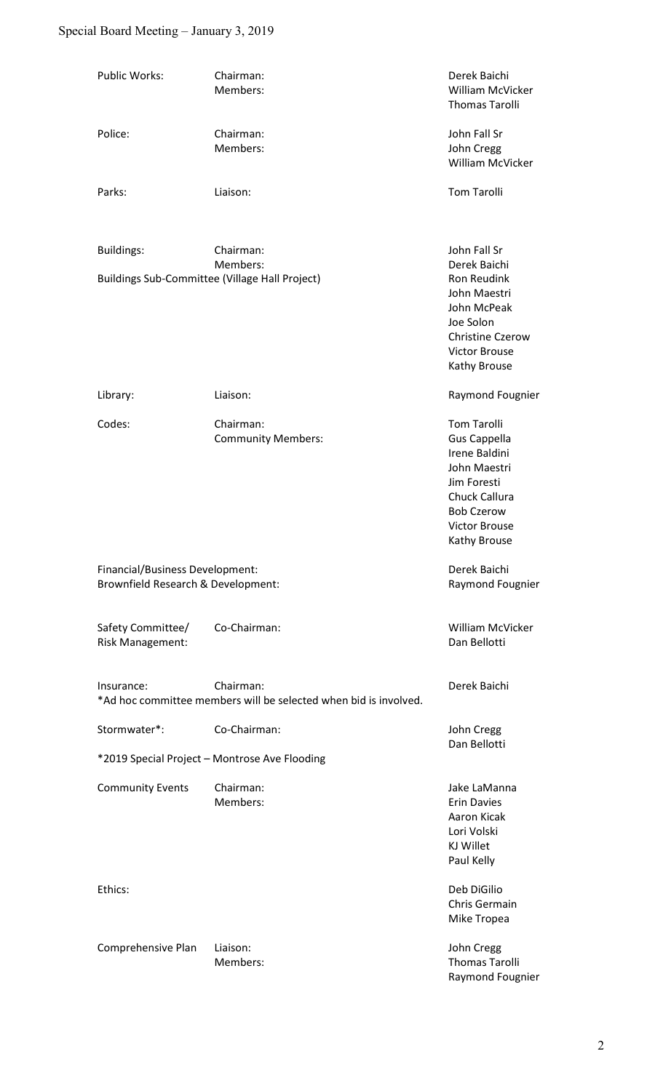# Special Board Meeting – January 3, 2019

| Public Works:                                                         | Chairman:<br>Members:                                                         | Derek Baichi<br>William McVicker<br><b>Thomas Tarolli</b>                                                                                                        |  |
|-----------------------------------------------------------------------|-------------------------------------------------------------------------------|------------------------------------------------------------------------------------------------------------------------------------------------------------------|--|
| Police:                                                               | Chairman:<br>Members:                                                         | John Fall Sr<br>John Cregg<br>William McVicker                                                                                                                   |  |
| Parks:                                                                | Liaison:                                                                      | <b>Tom Tarolli</b>                                                                                                                                               |  |
| <b>Buildings:</b>                                                     | Chairman:<br>Members:                                                         | John Fall Sr<br>Derek Baichi                                                                                                                                     |  |
|                                                                       | <b>Buildings Sub-Committee (Village Hall Project)</b>                         | <b>Ron Reudink</b><br>John Maestri<br>John McPeak<br>Joe Solon<br><b>Christine Czerow</b><br><b>Victor Brouse</b><br>Kathy Brouse                                |  |
| Library:                                                              | Liaison:                                                                      | Raymond Fougnier                                                                                                                                                 |  |
| Codes:                                                                | Chairman:<br><b>Community Members:</b>                                        | <b>Tom Tarolli</b><br>Gus Cappella<br>Irene Baldini<br>John Maestri<br>Jim Foresti<br>Chuck Callura<br><b>Bob Czerow</b><br><b>Victor Brouse</b><br>Kathy Brouse |  |
| Financial/Business Development:<br>Brownfield Research & Development: |                                                                               | Derek Baichi<br>Raymond Fougnier                                                                                                                                 |  |
| Safety Committee/<br>Risk Management:                                 | Co-Chairman:                                                                  | William McVicker<br>Dan Bellotti                                                                                                                                 |  |
| Insurance:                                                            | Chairman:<br>*Ad hoc committee members will be selected when bid is involved. | Derek Baichi                                                                                                                                                     |  |
| Stormwater*:                                                          | Co-Chairman:                                                                  | John Cregg<br>Dan Bellotti                                                                                                                                       |  |
| *2019 Special Project - Montrose Ave Flooding                         |                                                                               |                                                                                                                                                                  |  |
| <b>Community Events</b>                                               | Chairman:<br>Members:                                                         | Jake LaManna<br><b>Erin Davies</b><br>Aaron Kicak<br>Lori Volski<br>KJ Willet<br>Paul Kelly                                                                      |  |
| Ethics:                                                               |                                                                               | Deb DiGilio<br>Chris Germain<br>Mike Tropea                                                                                                                      |  |
| Comprehensive Plan                                                    | Liaison:<br>Members:                                                          | John Cregg<br><b>Thomas Tarolli</b><br>Raymond Fougnier                                                                                                          |  |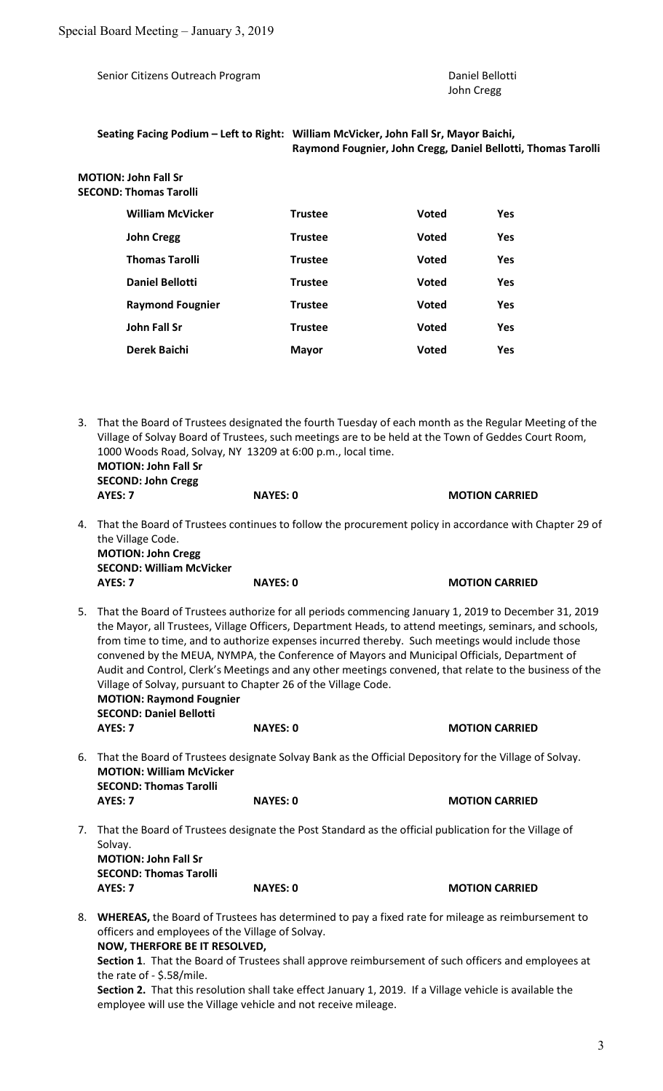Senior Citizens Outreach Program **Daniel Bellotti** Daniel Bellotti

John Cregg

#### Seating Facing Podium – Left to Right: William McVicker, John Fall Sr, Mayor Baichi, Raymond Fougnier, John Cregg, Daniel Bellotti, Thomas Tarolli

 MOTION: John Fall Sr SECOND: Thomas Tarolli

| <b>William McVicker</b> | <b>Trustee</b> | <b>Voted</b> | <b>Yes</b> |
|-------------------------|----------------|--------------|------------|
| <b>John Cregg</b>       | <b>Trustee</b> | <b>Voted</b> | <b>Yes</b> |
| <b>Thomas Tarolli</b>   | <b>Trustee</b> | <b>Voted</b> | <b>Yes</b> |
| <b>Daniel Bellotti</b>  | <b>Trustee</b> | <b>Voted</b> | <b>Yes</b> |
| <b>Raymond Fougnier</b> | <b>Trustee</b> | <b>Voted</b> | <b>Yes</b> |
| <b>John Fall Sr</b>     | <b>Trustee</b> | <b>Voted</b> | <b>Yes</b> |
| Derek Baichi            | <b>Mayor</b>   | Voted        | <b>Yes</b> |

- 3. That the Board of Trustees designated the fourth Tuesday of each month as the Regular Meeting of the Village of Solvay Board of Trustees, such meetings are to be held at the Town of Geddes Court Room, 1000 Woods Road, Solvay, NY 13209 at 6:00 p.m., local time. MOTION: John Fall Sr SECOND: John Cregg AYES: 7 NAYES: 0 MOTION CARRIED
- 4. That the Board of Trustees continues to follow the procurement policy in accordance with Chapter 29 of the Village Code. MOTION: John Cregg SECOND: William McVicker AYES: 7 NAYES: 0 MOTION CARRIED
- 5. That the Board of Trustees authorize for all periods commencing January 1, 2019 to December 31, 2019 the Mayor, all Trustees, Village Officers, Department Heads, to attend meetings, seminars, and schools, from time to time, and to authorize expenses incurred thereby. Such meetings would include those convened by the MEUA, NYMPA, the Conference of Mayors and Municipal Officials, Department of Audit and Control, Clerk's Meetings and any other meetings convened, that relate to the business of the Village of Solvay, pursuant to Chapter 26 of the Village Code. MOTION: Raymond Fougnier SECOND: Daniel Bellotti AYES: 7 NAYES: 0 MOTION CARRIED
- 6. That the Board of Trustees designate Solvay Bank as the Official Depository for the Village of Solvay. MOTION: William McVicker SECOND: Thomas Tarolli AYES: 7 NAYES: 0 MOTION CARRIED
- 7. That the Board of Trustees designate the Post Standard as the official publication for the Village of Solvay. MOTION: John Fall Sr SECOND: Thomas Tarolli

 AYES: 7 NAYES: 0 MOTION CARRIED 8. WHEREAS, the Board of Trustees has determined to pay a fixed rate for mileage as reimbursement to

officers and employees of the Village of Solvay. NOW, THERFORE BE IT RESOLVED,

Section 1. That the Board of Trustees shall approve reimbursement of such officers and employees at the rate of - \$.58/mile.

Section 2. That this resolution shall take effect January 1, 2019. If a Village vehicle is available the employee will use the Village vehicle and not receive mileage.